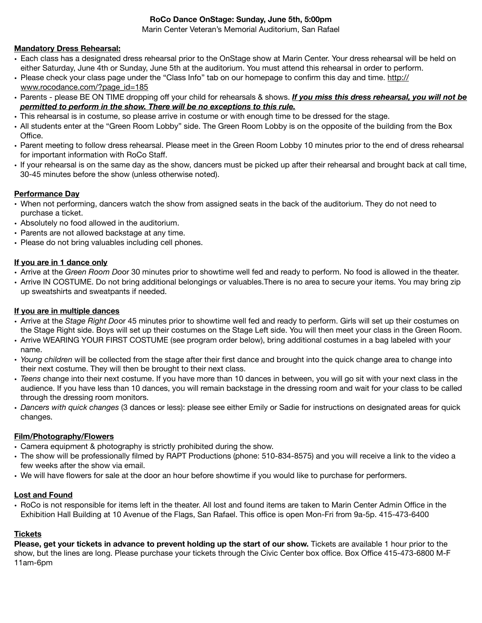#### **RoCo Dance OnStage: Sunday, June 5th, 5:00pm**

Marin Center Veteran's Memorial Auditorium, San Rafael

#### **Mandatory Dress Rehearsal:**

- Each class has a designated dress rehearsal prior to the OnStage show at Marin Center. Your dress rehearsal will be held on either Saturday, June 4th or Sunday, June 5th at the auditorium. You must attend this rehearsal in order to perform.
- Please check your class page under the "Class Info" tab on our homepage to confirm this day and time. [http://](http://www.rocodance.com/?page_id=185) [www.rocodance.com/?page\\_id=185](http://www.rocodance.com/?page_id=185)
- Parents please BE ON TIME dropping off your child for rehearsals & shows. *If you miss this dress rehearsal, you will not be permitted to perform in the show. There will be no exceptions to this rule.*
- This rehearsal is in costume, so please arrive in costume or with enough time to be dressed for the stage.
- All students enter at the "Green Room Lobby" side. The Green Room Lobby is on the opposite of the building from the Box Office.
- Parent meeting to follow dress rehearsal. Please meet in the Green Room Lobby 10 minutes prior to the end of dress rehearsal for important information with RoCo Staff.
- If your rehearsal is on the same day as the show, dancers must be picked up after their rehearsal and brought back at call time, 30-45 minutes before the show (unless otherwise noted).

#### **Performance Day**

- When not performing, dancers watch the show from assigned seats in the back of the auditorium. They do not need to purchase a ticket.
- Absolutely no food allowed in the auditorium.
- Parents are not allowed backstage at any time.
- Please do not bring valuables including cell phones.

#### **If you are in 1 dance only**

- Arrive at the *Green Room Do*or 30 minutes prior to showtime well fed and ready to perform. No food is allowed in the theater.
- Arrive IN COSTUME. Do not bring additional belongings or valuables.There is no area to secure your items. You may bring zip up sweatshirts and sweatpants if needed.

#### **If you are in multiple dances**

- Arrive at the *Stage Right Do*or 45 minutes prior to showtime well fed and ready to perform. Girls will set up their costumes on the Stage Right side. Boys will set up their costumes on the Stage Left side. You will then meet your class in the Green Room.
- Arrive WEARING YOUR FIRST COSTUME (see program order below), bring additional costumes in a bag labeled with your name.
- *Young children* will be collected from the stage after their first dance and brought into the quick change area to change into their next costume. They will then be brought to their next class.
- *Teens* change into their next costume. If you have more than 10 dances in between, you will go sit with your next class in the audience. If you have less than 10 dances, you will remain backstage in the dressing room and wait for your class to be called through the dressing room monitors.
- *Dancers with quick changes* (3 dances or less): please see either Emily or Sadie for instructions on designated areas for quick changes.

#### **Film/Photography/Flowers**

- Camera equipment & photography is strictly prohibited during the show.
- The show will be professionally filmed by RAPT Productions (phone: 510-834-8575) and you will receive a link to the video a few weeks after the show via email.
- We will have flowers for sale at the door an hour before showtime if you would like to purchase for performers.

#### **Lost and Found**

• RoCo is not responsible for items left in the theater. All lost and found items are taken to Marin Center Admin Office in the Exhibition Hall Building at 10 Avenue of the Flags, San Rafael. This office is open Mon-Fri from 9a-5p. 415-473-6400

### **Tickets**

**Please, get your tickets in advance to prevent holding up the start of our show.** Tickets are available 1 hour prior to the show, but the lines are long. Please purchase your tickets through the Civic Center box office. Box Office 415-473-6800 M-F 11am-6pm